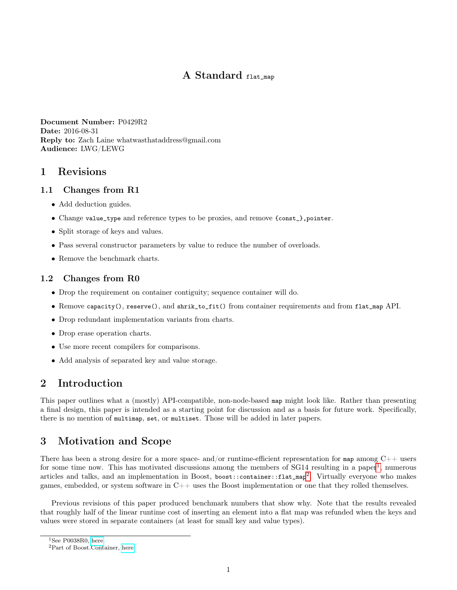# A Standard flat map

Document Number: P0429R2 Date: 2016-08-31 Reply to: Zach Laine whatwasthataddress@gmail.com Audience: LWG/LEWG

## 1 Revisions

### 1.1 Changes from R1

- Add deduction guides.
- Change value\_type and reference types to be proxies, and remove {const\_},pointer.
- Split storage of keys and values.
- Pass several constructor parameters by value to reduce the number of overloads.
- Remove the benchmark charts.

### 1.2 Changes from R0

- Drop the requirement on container contiguity; sequence container will do.
- Remove capacity(), reserve(), and shrik\_to\_fit() from container requirements and from flat\_map API.
- Drop redundant implementation variants from charts.
- Drop erase operation charts.
- Use more recent compilers for comparisons.
- Add analysis of separated key and value storage.

## 2 Introduction

This paper outlines what a (mostly) API-compatible, non-node-based map might look like. Rather than presenting a final design, this paper is intended as a starting point for discussion and as a basis for future work. Specifically, there is no mention of multimap, set, or multiset. Those will be added in later papers.

# 3 Motivation and Scope

There has been a strong desire for a more space- and/or runtime-efficient representation for map among  $C++$  users for some time now. This has motivated discussions among the members of  $SG14$  $SG14$  $SG14$  resulting in a paper<sup>1</sup>, numerous articles and talks, and an implementation in Boost, boost::container::flat\_map<sup>[2](#page-0-1)</sup>. Virtually everyone who makes games, embedded, or system software in  $C_{++}$  uses the Boost implementation or one that they rolled themselves.

Previous revisions of this paper produced benchmark numbers that show why. Note that the results revealed that roughly half of the linear runtime cost of inserting an element into a flat map was refunded when the keys and values were stored in separate containers (at least for small key and value types).

<span id="page-0-0"></span> $1$ See P0038R0, [here.](http://www.open-std.org/jtc1/sc22/wg21/docs/papers/2015/p0038r0.html)

<span id="page-0-1"></span><sup>2</sup>Part of Boost.Container, [here.](http://www.boost.org/doc/libs/1_61_0/doc/html/container.html)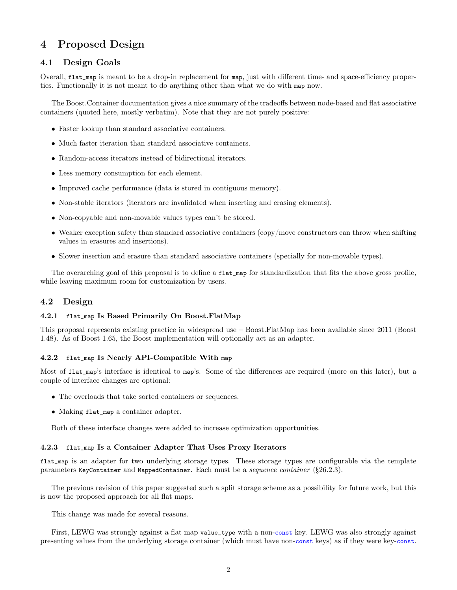# 4 Proposed Design

### 4.1 Design Goals

Overall, flat\_map is meant to be a drop-in replacement for map, just with different time- and space-efficiency properties. Functionally it is not meant to do anything other than what we do with map now.

The Boost.Container documentation gives a nice summary of the tradeoffs between node-based and flat associative containers (quoted here, mostly verbatim). Note that they are not purely positive:

- Faster lookup than standard associative containers.
- Much faster iteration than standard associative containers.
- Random-access iterators instead of bidirectional iterators.
- Less memory consumption for each element.
- Improved cache performance (data is stored in contiguous memory).
- Non-stable iterators (iterators are invalidated when inserting and erasing elements).
- Non-copyable and non-movable values types can't be stored.
- Weaker exception safety than standard associative containers (copy/move constructors can throw when shifting values in erasures and insertions).
- Slower insertion and erasure than standard associative containers (specially for non-movable types).

The overarching goal of this proposal is to define a flat\_map for standardization that fits the above gross profile, while leaving maximum room for customization by users.

#### 4.2 Design

#### 4.2.1 flat\_map Is Based Primarily On Boost.FlatMap

This proposal represents existing practice in widespread use – Boost.FlatMap has been available since 2011 (Boost 1.48). As of Boost 1.65, the Boost implementation will optionally act as an adapter.

#### 4.2.2 flat\_map Is Nearly API-Compatible With map

Most of flat\_map's interface is identical to map's. Some of the differences are required (more on this later), but a couple of interface changes are optional:

- The overloads that take sorted containers or sequences.
- Making flat\_map a container adapter.

Both of these interface changes were added to increase optimization opportunities.

#### 4.2.3 flat\_map Is a Container Adapter That Uses Proxy Iterators

flat\_map is an adapter for two underlying storage types. These storage types are configurable via the template parameters KeyContainer and MappedContainer. Each must be a sequence container (§26.2.3).

The previous revision of this paper suggested such a split storage scheme as a possibility for future work, but this is now the proposed approach for all flat maps.

This change was made for several reasons.

First, LEWG was strongly against a flat map value\_type with a non-const key. LEWG was also strongly against presenting values from the underlying storage container (which must have non-const keys) as if they were key-const.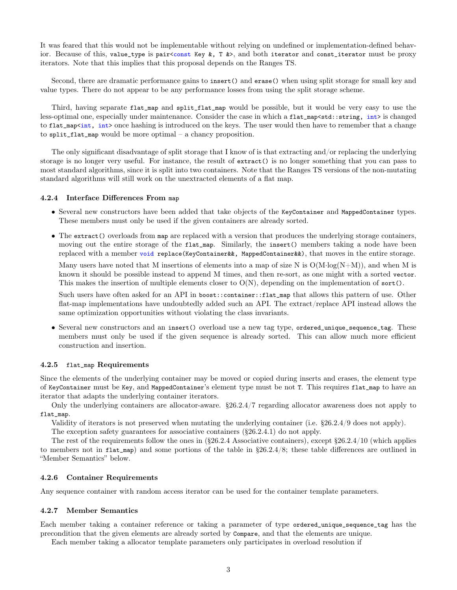It was feared that this would not be implementable without relying on undefined or implementation-defined behavior. Because of this, value\_type is pair<const Key &, T &>, and both iterator and const\_iterator must be proxy iterators. Note that this implies that this proposal depends on the Ranges TS.

Second, there are dramatic performance gains to insert() and erase() when using split storage for small key and value types. There do not appear to be any performance losses from using the split storage scheme.

Third, having separate flat\_map and split\_flat\_map would be possible, but it would be very easy to use the less-optimal one, especially under maintenance. Consider the case in which a flat\_map<std::string, int> is changed to flat\_map<int, int> once hashing is introduced on the keys. The user would then have to remember that a change to split\_flat\_map would be more optimal – a chancy proposition.

The only significant disadvantage of split storage that I know of is that extracting and/or replacing the underlying storage is no longer very useful. For instance, the result of extract() is no longer something that you can pass to most standard algorithms, since it is split into two containers. Note that the Ranges TS versions of the non-mutating standard algorithms will still work on the unextracted elements of a flat map.

#### 4.2.4 Interface Differences From map

- Several new constructors have been added that take objects of the KeyContainer and MappedContainer types. These members must only be used if the given containers are already sorted.
- The extract() overloads from map are replaced with a version that produces the underlying storage containers, moving out the entire storage of the flat\_map. Similarly, the insert() members taking a node have been replaced with a member void replace(KeyContainer&&, MappedContainer&&), that moves in the entire storage.

Many users have noted that M insertions of elements into a map of size N is  $O(M \cdot \log(N+M))$ , and when M is known it should be possible instead to append M times, and then re-sort, as one might with a sorted vector. This makes the insertion of multiple elements closer to  $O(N)$ , depending on the implementation of sort().

Such users have often asked for an API in boost::container::flat\_map that allows this pattern of use. Other flat-map implementations have undoubtedly added such an API. The extract/replace API instead allows the same optimization opportunities without violating the class invariants.

• Several new constructors and an insert() overload use a new tag type, ordered\_unique\_sequence\_tag. These members must only be used if the given sequence is already sorted. This can allow much more efficient construction and insertion.

#### 4.2.5 flat\_map Requirements

Since the elements of the underlying container may be moved or copied during inserts and erases, the element type of KeyContainer must be Key, and MappedContainer's element type must be not T. This requires flat\_map to have an iterator that adapts the underlying container iterators.

Only the underlying containers are allocator-aware. §26.2.4/7 regarding allocator awareness does not apply to flat\_map.

Validity of iterators is not preserved when mutating the underlying container (i.e. §26.2.4/9 does not apply).

The exception safety guarantees for associative containers (§26.2.4.1) do not apply.

The rest of the requirements follow the ones in  $(\$26.2.4$  Associative containers), except  $\$26.2.4/10$  (which applies to members not in flat\_map) and some portions of the table in §26.2.4/8; these table differences are outlined in "Member Semantics" below.

#### 4.2.6 Container Requirements

Any sequence container with random access iterator can be used for the container template parameters.

#### 4.2.7 Member Semantics

Each member taking a container reference or taking a parameter of type ordered\_unique\_sequence\_tag has the precondition that the given elements are already sorted by Compare, and that the elements are unique.

Each member taking a allocator template parameters only participates in overload resolution if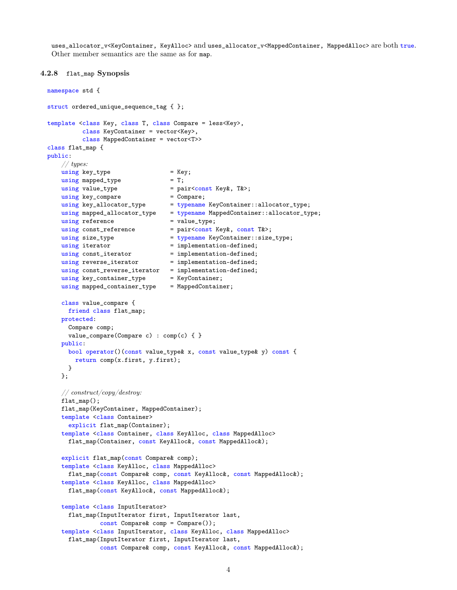uses\_allocator\_v<KeyContainer, KeyAlloc> and uses\_allocator\_v<MappedContainer, MappedAlloc> are both true. Other member semantics are the same as for map.

```
4.2.8 flat_map Synopsis
```

```
namespace std {
struct ordered_unique_sequence_tag { };
template <class Key, class T, class Compare = less<Key>,
         class KeyContainer = vector<Key>,
         class MappedContainer = vector<T>>
class flat_map {
public:
   // types:
   using key_type = Key;using mapped_type = T;
   using value_type = pair<const Key&, T&>;
    using key_compare = Compare;
    using key_allocator_type = typename KeyContainer::allocator_type;
    using mapped_allocator_type = typename MappedContainer::allocator_type;
   using reference = value_type;
   using const_reference = pair<const Key&, const T&>;
   using size_type = typename KeyContainer::size_type;
   using iterator = implementation-defined;
   using const_iterator = implementation-defined;
   using reverse_iterator = implementation-defined;
   using const_reverse_iterator = implementation-defined;
   using key_container_type = KeyContainer;
   using mapped_container_type = MappedContainer;
   class value_compare {
     friend class flat_map;
   protected:
     Compare comp;
     value_compare(Compare c) : comp(c) { }
   public:
     bool operator()(const value_type& x, const value_type& y) const {
       return comp(x.first, y.first);
     }
   };
   // construct/copy/destroy:
   flat_map();
   flat_map(KeyContainer, MappedContainer);
   template <class Container>
     explicit flat_map(Container);
   template <class Container, class KeyAlloc, class MappedAlloc>
     flat_map(Container, const KeyAlloc&, const MappedAlloc&);
   explicit flat_map(const Compare& comp);
   template <class KeyAlloc, class MappedAlloc>
     flat_map(const Compare& comp, const KeyAlloc&, const MappedAlloc&);
   template <class KeyAlloc, class MappedAlloc>
     flat_map(const KeyAlloc&, const MappedAlloc&);
   template <class InputIterator>
     flat_map(InputIterator first, InputIterator last,
              const Compare& comp = Compare());
   template <class InputIterator, class KeyAlloc, class MappedAlloc>
     flat_map(InputIterator first, InputIterator last,
              const Compare& comp, const KeyAlloc&, const MappedAlloc&);
```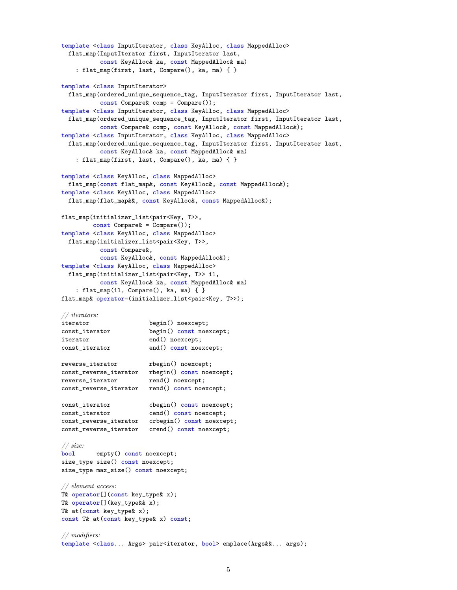```
template <class InputIterator, class KeyAlloc, class MappedAlloc>
  flat_map(InputIterator first, InputIterator last,
           const KeyAlloc& ka, const MappedAlloc& ma)
    : flat_map(first, last, Compare(), ka, ma) { }
template <class InputIterator>
  flat_map(ordered_unique_sequence_tag, InputIterator first, InputIterator last,
          const Compare& comp = Compare());
template <class InputIterator, class KeyAlloc, class MappedAlloc>
  flat_map(ordered_unique_sequence_tag, InputIterator first, InputIterator last,
          const Compare& comp, const KeyAlloc&, const MappedAlloc&);
template <class InputIterator, class KeyAlloc, class MappedAlloc>
  flat_map(ordered_unique_sequence_tag, InputIterator first, InputIterator last,
          const KeyAlloc& ka, const MappedAlloc& ma)
    : flat_map(first, last, Compare(), ka, ma) { }
template <class KeyAlloc, class MappedAlloc>
  flat_map(const flat_map&, const KeyAlloc&, const MappedAlloc&);
template <class KeyAlloc, class MappedAlloc>
  flat_map(flat_map&&, const KeyAlloc&, const MappedAlloc&);
flat_map(initializer_list<pair<Key, T>>,
        const Compare& = Compare());
template <class KeyAlloc, class MappedAlloc>
  flat_map(initializer_list<pair<Key, T>>,
          const Compare&,
          const KeyAlloc&, const MappedAlloc&);
template <class KeyAlloc, class MappedAlloc>
 flat_map(initializer_list<pair<Key, T>> il,
          const KeyAlloc& ka, const MappedAlloc& ma)
    : flat_map(il, Compare(), ka, ma) { }
flat_map& operator=(initializer_list<pair<Key, T>>);
// iterators:
iterator begin() noexcept;
const_iterator begin() const noexcept;
iterator end() noexcept;
const_iterator end() const noexcept;
reverse_iterator rbegin() noexcept;
const_reverse_iterator rbegin() const noexcept;
reverse_iterator rend() noexcept;
const_reverse_iterator rend() const noexcept;
const_iterator cbegin() const noexcept;
const_iterator cend() const noexcept;
const_reverse_iterator crbegin() const noexcept;
const_reverse_iterator crend() const noexcept;
// size:
bool empty() const noexcept;
size_type size() const noexcept;
size_type max_size() const noexcept;
// element access:
T& operator[](const key_type& x);
T& operator[](key_type&& x);
T& at(const key_type& x);
const T& at(const key_type& x) const;
// modifiers:
template <class... Args> pair<iterator, bool> emplace(Args&&... args);
```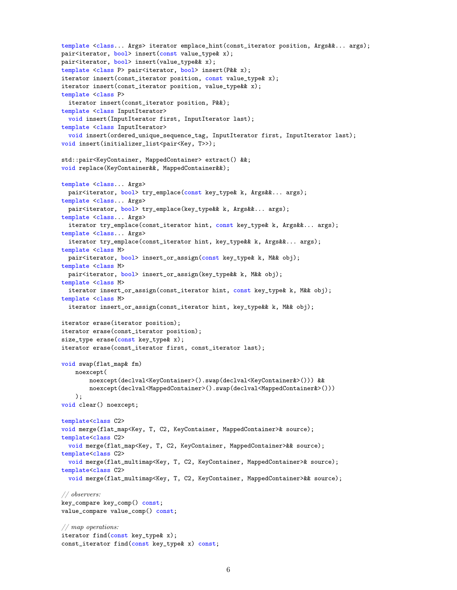```
template <class... Args> iterator emplace_hint(const_iterator position, Args&&... args);
pair<iterator, bool> insert(const value_type& x);
pair<iterator, bool> insert(value_type&& x);
template <class P> pair<iterator, bool> insert(P&& x);
iterator insert(const_iterator position, const value_type& x);
iterator insert(const_iterator position, value_type&& x);
template <class P>
 iterator insert(const_iterator position, P&&);
template <class InputIterator>
 void insert(InputIterator first, InputIterator last);
template <class InputIterator>
 void insert(ordered_unique_sequence_tag, InputIterator first, InputIterator last);
void insert(initializer_list<pair<Key, T>>);
std::pair<KeyContainer, MappedContainer> extract() &&;
void replace(KeyContainer&&, MappedContainer&&);
template <class... Args>
  pair<iterator, bool> try_emplace(const key_type& k, Args&&... args);
template <class... Args>
 pair<iterator, bool> try_emplace(key_type&& k, Args&&... args);
template <class... Args>
  iterator try_emplace(const_iterator hint, const key_type& k, Args&&... args);
template <class... Args>
 iterator try_emplace(const_iterator hint, key_type&& k, Args&&... args);
template <class M>
 pair<iterator, bool> insert_or_assign(const key_type& k, M&& obj);
template <class M>
 pair<iterator, bool> insert_or_assign(key_type&& k, M&& obj);
template <class M>
 iterator insert_or_assign(const_iterator hint, const key_type& k, M&& obj);
template <class M>
 iterator insert_or_assign(const_iterator hint, key_type&& k, M&& obj);
iterator erase(iterator position);
iterator erase(const_iterator position);
size_type erase(const key_type& x);
iterator erase(const_iterator first, const_iterator last);
void swap(flat_map& fm)
    noexcept(
        noexcept(declval<KeyContainer>().swap(declval<KeyContainer&>())) &&
        noexcept(declval<MappedContainer>().swap(declval<MappedContainer&>()))
    );
void clear() noexcept;
template<class C2>
void merge(flat_map<Key, T, C2, KeyContainer, MappedContainer>& source);
template<class C2>
 void merge(flat_map<Key, T, C2, KeyContainer, MappedContainer>&& source);
template<class C2>
 void merge(flat_multimap<Key, T, C2, KeyContainer, MappedContainer>& source);
template<class C2>
 void merge(flat_multimap<Key, T, C2, KeyContainer, MappedContainer>&& source);
// observers:
key_compare key_comp() const;
value_compare value_comp() const;
// map operations:
iterator find(const key_type& x);
const_iterator find(const key_type& x) const;
```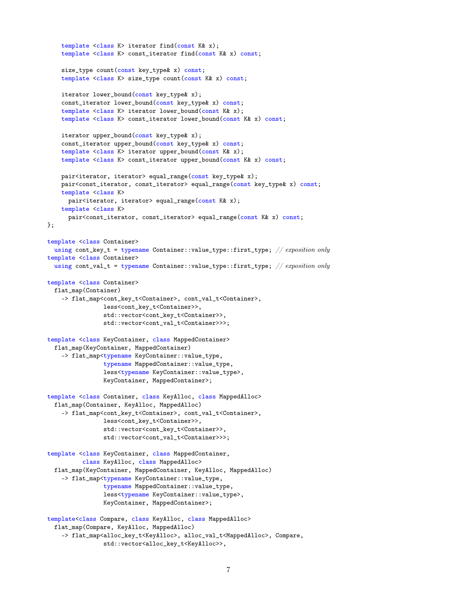```
template <class K> iterator find(const K& x);
    template <class K> const_iterator find(const K& x) const;
    size_type count(const key_type& x) const;
    template <class K> size_type count(const K& x) const;
    iterator lower_bound(const key_type& x);
    const_iterator lower_bound(const key_type& x) const;
    template <class K> iterator lower_bound(const K& x);
    template <class K> const_iterator lower_bound(const K& x) const;
    iterator upper_bound(const key_type& x);
    const_iterator upper_bound(const key_type& x) const;
    template <class K> iterator upper_bound(const K& x);
    template <class K> const_iterator upper_bound(const K& x) const;
    pair<iterator, iterator> equal_range(const key_type& x);
    pair<const_iterator, const_iterator> equal_range(const key_type& x) const;
    template <class K>
     pair<iterator, iterator> equal_range(const K& x);
    template <class K>
     pair<const_iterator, const_iterator> equal_range(const K& x) const;
};
template <class Container>
 using cont_key_t = typename Container::value_type::first_type; // exposition only
template <class Container>
 using cont_val_t = typename Container::value_type::first_type; // exposition only
template <class Container>
  flat_map(Container)
    -> flat_map<cont_key_t<Container>, cont_val_t<Container>,
                less<cont_key_t<Container>>,
                std::vector<cont_key_t<Container>>,
                std::vector<cont_val_t<Container>>>;
template <class KeyContainer, class MappedContainer>
 flat_map(KeyContainer, MappedContainer)
    -> flat_map<typename KeyContainer::value_type,
                typename MappedContainer::value_type,
                less<typename KeyContainer::value_type>,
                KeyContainer, MappedContainer>;
template <class Container, class KeyAlloc, class MappedAlloc>
  flat_map(Container, KeyAlloc, MappedAlloc)
    -> flat_map<cont_key_t<Container>, cont_val_t<Container>,
                less<cont_key_t<Container>>,
                std::vector<cont_key_t<Container>>,
                std::vector<cont_val_t<Container>>>;
template <class KeyContainer, class MappedContainer,
          class KeyAlloc, class MappedAlloc>
  flat_map(KeyContainer, MappedContainer, KeyAlloc, MappedAlloc)
    -> flat_map<typename KeyContainer::value_type,
                typename MappedContainer::value_type,
                less<typename KeyContainer::value_type>,
                KeyContainer, MappedContainer>;
template<class Compare, class KeyAlloc, class MappedAlloc>
  flat_map(Compare, KeyAlloc, MappedAlloc)
    -> flat_map<alloc_key_t<KeyAlloc>, alloc_val_t<MappedAlloc>, Compare,
                std::vector<alloc_key_t<KeyAlloc>>,
```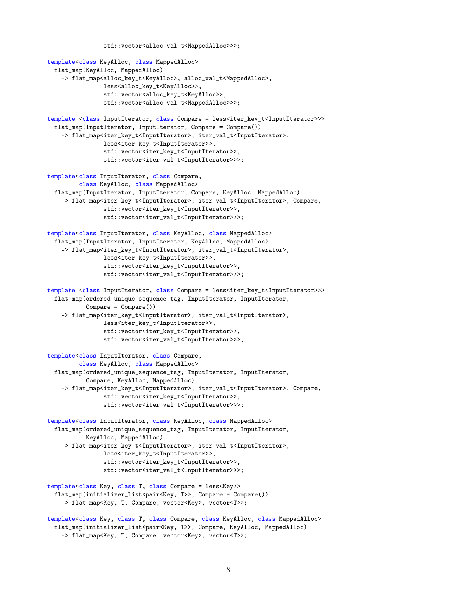```
std::vector<alloc_val_t<MappedAlloc>>>;
template<class KeyAlloc, class MappedAlloc>
 flat_map(KeyAlloc, MappedAlloc)
    -> flat_map<alloc_key_t<KeyAlloc>, alloc_val_t<MappedAlloc>,
               less<alloc_key_t<KeyAlloc>>,
                std::vector<alloc_key_t<KeyAlloc>>,
               std::vector<alloc_val_t<MappedAlloc>>>;
template <class InputIterator, class Compare = less<iter_key_t<InputIterator>>>
 flat_map(InputIterator, InputIterator, Compare = Compare())
    -> flat_map<iter_key_t<InputIterator>, iter_val_t<InputIterator>,
               less<iter_key_t<InputIterator>>,
               std::vector<iter_key_t<InputIterator>>,
               std::vector<iter_val_t<InputIterator>>>;
template<class InputIterator, class Compare,
         class KeyAlloc, class MappedAlloc>
 flat_map(InputIterator, InputIterator, Compare, KeyAlloc, MappedAlloc)
    -> flat_map<iter_key_t<InputIterator>, iter_val_t<InputIterator>, Compare,
                std::vector<iter_key_t<InputIterator>>,
               std::vector<iter_val_t<InputIterator>>>;
template<class InputIterator, class KeyAlloc, class MappedAlloc>
 flat_map(InputIterator, InputIterator, KeyAlloc, MappedAlloc)
    -> flat_map<iter_key_t<InputIterator>, iter_val_t<InputIterator>,
               less<iter_key_t<InputIterator>>,
               std::vector<iter_key_t<InputIterator>>,
               std::vector<iter_val_t<InputIterator>>>;
template <class InputIterator, class Compare = less<iter_key_t<InputIterator>>>
 flat_map(ordered_unique_sequence_tag, InputIterator, InputIterator,
          Compare = Compare()-> flat_map<iter_key_t<InputIterator>, iter_val_t<InputIterator>,
               less<iter_key_t<InputIterator>>,
               std::vector<iter_key_t<InputIterator>>,
               std::vector<iter_val_t<InputIterator>>>;
template<class InputIterator, class Compare,
         class KeyAlloc, class MappedAlloc>
 flat_map(ordered_unique_sequence_tag, InputIterator, InputIterator,
          Compare, KeyAlloc, MappedAlloc)
    -> flat_map<iter_key_t<InputIterator>, iter_val_t<InputIterator>, Compare,
                std::vector<iter_key_t<InputIterator>>,
               std::vector<iter_val_t<InputIterator>>>;
template<class InputIterator, class KeyAlloc, class MappedAlloc>
 flat_map(ordered_unique_sequence_tag, InputIterator, InputIterator,
          KeyAlloc, MappedAlloc)
    -> flat_map<iter_key_t<InputIterator>, iter_val_t<InputIterator>,
               less<iter_key_t<InputIterator>>,
                std::vector<iter_key_t<InputIterator>>,
               std::vector<iter_val_t<InputIterator>>>;
template<class Key, class T, class Compare = less<Key>>
 flat_map(initializer_list<pair<Key, T>>, Compare = Compare())
    -> flat_map<Key, T, Compare, vector<Key>, vector<T>>;
template<class Key, class T, class Compare, class KeyAlloc, class MappedAlloc>
 flat_map(initializer_list<pair<Key, T>>, Compare, KeyAlloc, MappedAlloc)
    -> flat_map<Key, T, Compare, vector<Key>, vector<T>>;
```